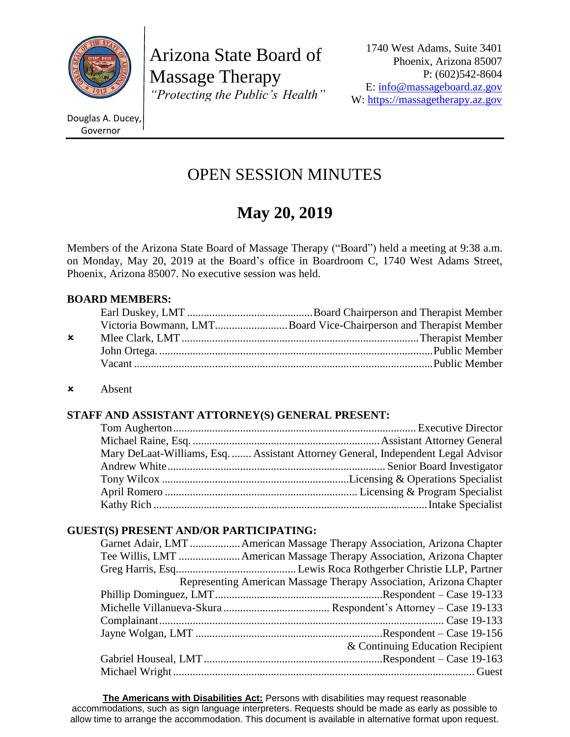

Arizona State Board of Massage Therapy *"Protecting the Public's Health"*

1740 West Adams, Suite 3401 Phoenix, Arizona 85007 P: (602)542-8604 E: [info@massageboard.az.gov](mailto:info@massageboard.az.gov) W: [https://massagetherapy.az.gov](https://massagetherapy.az.gov/)

Douglas A. Ducey, Governor

# OPEN SESSION MINUTES

# **May 20, 2019**

Members of the Arizona State Board of Massage Therapy ("Board") held a meeting at 9:38 a.m. on Monday, May 20, 2019 at the Board's office in Boardroom C, 1740 West Adams Street, Phoenix, Arizona 85007. No executive session was held.

## **BOARD MEMBERS:**

|             | Victoria Bowmann, LMTBoard Vice-Chairperson and Therapist Member |
|-------------|------------------------------------------------------------------|
| $\mathbf x$ |                                                                  |
|             |                                                                  |
|             |                                                                  |
|             |                                                                  |

Absent

## **STAFF AND ASSISTANT ATTORNEY(S) GENERAL PRESENT:**

| Mary DeLaat-Williams, Esq.  Assistant Attorney General, Independent Legal Advisor |
|-----------------------------------------------------------------------------------|
|                                                                                   |
|                                                                                   |
|                                                                                   |
|                                                                                   |
|                                                                                   |

# **GUEST(S) PRESENT AND/OR PARTICIPATING:**

| Representing American Massage Therapy Association, Arizona Chapter |
|--------------------------------------------------------------------|
|                                                                    |
|                                                                    |
|                                                                    |
|                                                                    |
| & Continuing Education Recipient                                   |
|                                                                    |
|                                                                    |

**The Americans with Disabilities Act:** Persons with disabilities may request reasonable accommodations, such as sign language interpreters. Requests should be made as early as possible to allow time to arrange the accommodation. This document is available in alternative format upon request.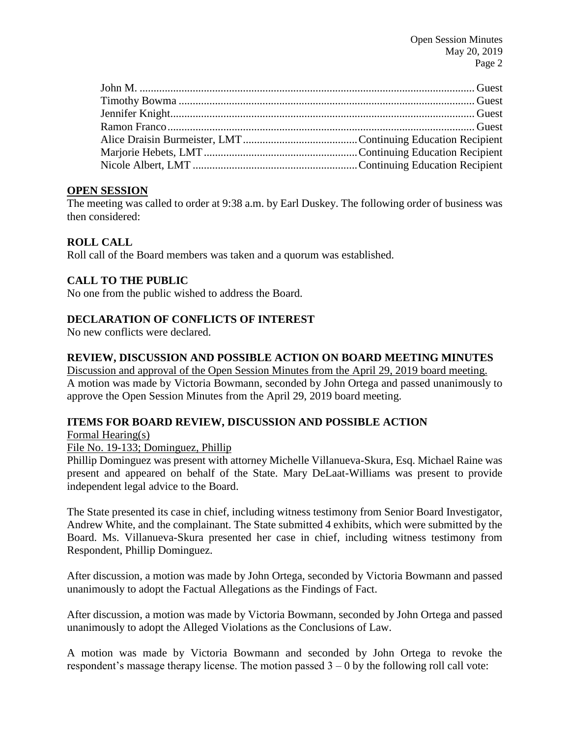### **OPEN SESSION**

The meeting was called to order at 9:38 a.m. by Earl Duskey. The following order of business was then considered:

## **ROLL CALL**

Roll call of the Board members was taken and a quorum was established.

## **CALL TO THE PUBLIC**

No one from the public wished to address the Board.

## **DECLARATION OF CONFLICTS OF INTEREST**

No new conflicts were declared.

### **REVIEW, DISCUSSION AND POSSIBLE ACTION ON BOARD MEETING MINUTES**

Discussion and approval of the Open Session Minutes from the April 29, 2019 board meeting. A motion was made by Victoria Bowmann, seconded by John Ortega and passed unanimously to approve the Open Session Minutes from the April 29, 2019 board meeting.

## **ITEMS FOR BOARD REVIEW, DISCUSSION AND POSSIBLE ACTION**

Formal Hearing(s)

## File No. 19-133; Dominguez, Phillip

Phillip Dominguez was present with attorney Michelle Villanueva-Skura, Esq. Michael Raine was present and appeared on behalf of the State. Mary DeLaat-Williams was present to provide independent legal advice to the Board.

The State presented its case in chief, including witness testimony from Senior Board Investigator, Andrew White, and the complainant. The State submitted 4 exhibits, which were submitted by the Board. Ms. Villanueva-Skura presented her case in chief, including witness testimony from Respondent, Phillip Dominguez.

After discussion, a motion was made by John Ortega, seconded by Victoria Bowmann and passed unanimously to adopt the Factual Allegations as the Findings of Fact.

After discussion, a motion was made by Victoria Bowmann, seconded by John Ortega and passed unanimously to adopt the Alleged Violations as the Conclusions of Law.

A motion was made by Victoria Bowmann and seconded by John Ortega to revoke the respondent's massage therapy license. The motion passed  $3 - 0$  by the following roll call vote: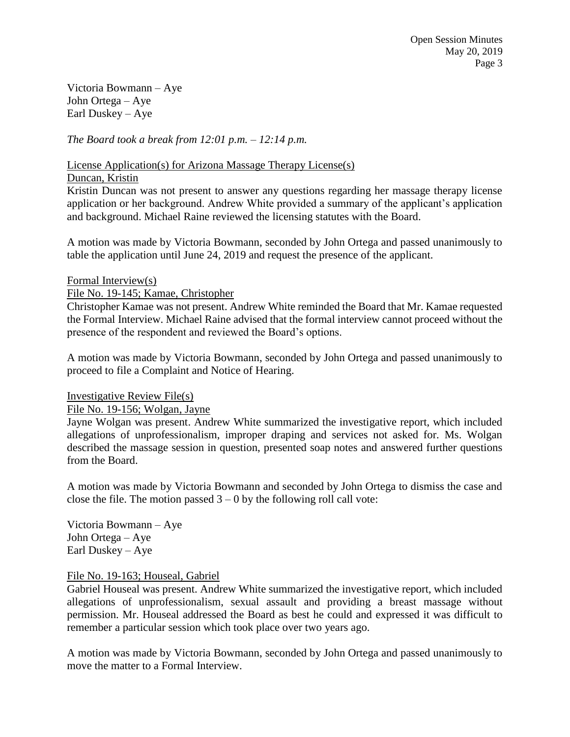Victoria Bowmann – Aye John Ortega – Aye Earl Duskey – Aye

*The Board took a break from 12:01 p.m. – 12:14 p.m.*

# License Application(s) for Arizona Massage Therapy License(s)

## Duncan, Kristin

Kristin Duncan was not present to answer any questions regarding her massage therapy license application or her background. Andrew White provided a summary of the applicant's application and background. Michael Raine reviewed the licensing statutes with the Board.

A motion was made by Victoria Bowmann, seconded by John Ortega and passed unanimously to table the application until June 24, 2019 and request the presence of the applicant.

#### Formal Interview(s)

File No. 19-145; Kamae, Christopher

Christopher Kamae was not present. Andrew White reminded the Board that Mr. Kamae requested the Formal Interview. Michael Raine advised that the formal interview cannot proceed without the presence of the respondent and reviewed the Board's options.

A motion was made by Victoria Bowmann, seconded by John Ortega and passed unanimously to proceed to file a Complaint and Notice of Hearing.

#### Investigative Review File(s)

#### File No. 19-156; Wolgan, Jayne

Jayne Wolgan was present. Andrew White summarized the investigative report, which included allegations of unprofessionalism, improper draping and services not asked for. Ms. Wolgan described the massage session in question, presented soap notes and answered further questions from the Board.

A motion was made by Victoria Bowmann and seconded by John Ortega to dismiss the case and close the file. The motion passed  $3 - 0$  by the following roll call vote:

Victoria Bowmann – Aye John Ortega – Aye Earl Duskey – Aye

#### File No. 19-163; Houseal, Gabriel

Gabriel Houseal was present. Andrew White summarized the investigative report, which included allegations of unprofessionalism, sexual assault and providing a breast massage without permission. Mr. Houseal addressed the Board as best he could and expressed it was difficult to remember a particular session which took place over two years ago.

A motion was made by Victoria Bowmann, seconded by John Ortega and passed unanimously to move the matter to a Formal Interview.